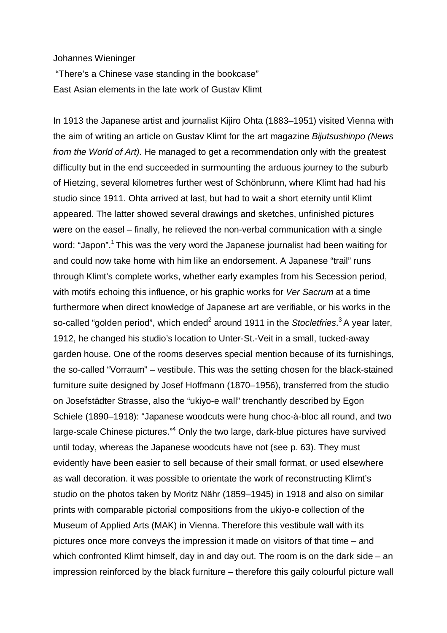Johannes Wieninger

"There's a Chinese vase standing in the bookcase" East Asian elements in the late work of Gustav Klimt

In 1913 the Japanese artist and journalist Kijiro Ohta (1883–1951) visited Vienna with the aim of writing an article on Gustav Klimt for the art magazine *Bijutsushinpo (News from the World of Art).* He managed to get a recommendation only with the greatest difficulty but in the end succeeded in surmounting the arduous journey to the suburb of Hietzing, several kilometres further west of Schönbrunn, where Klimt had had his studio since 1911. Ohta arrived at last, but had to wait a short eternity until Klimt appeared. The latter showed several drawings and sketches, unfinished pictures were on the easel – finally, he relieved the non-verbal communication with a single word: "Japon".<sup>1</sup> This was the very word the Japanese journalist had been waiting for and could now take home with him like an endorsement. A Japanese "trail" runs through Klimt's complete works, whether early examples from his Secession period, with motifs echoing this influence, or his graphic works for *Ver Sacrum* at a time furthermore when direct knowledge of Japanese art are verifiable, or his works in the so-called "golden period", which ended<sup>2</sup> around 1911 in the *Stocletfries*.<sup>3</sup> A year later, 1912, he changed his studio's location to Unter-St.-Veit in a small, tucked-away garden house. One of the rooms deserves special mention because of its furnishings, the so-called "Vorraum" – vestibule. This was the setting chosen for the black-stained furniture suite designed by Josef Hoffmann (1870–1956), transferred from the studio on Josefstädter Strasse, also the "ukiyo-e wall" trenchantly described by Egon Schiele (1890–1918): "Japanese woodcuts were hung choc-à-bloc all round, and two large-scale Chinese pictures."<sup>4</sup> Only the two large, dark-blue pictures have survived until today, whereas the Japanese woodcuts have not (see p. 63). They must evidently have been easier to sell because of their small format, or used elsewhere as wall decoration. it was possible to orientate the work of reconstructing Klimt's studio on the photos taken by Moritz Nähr (1859–1945) in 1918 and also on similar prints with comparable pictorial compositions from the ukiyo-e collection of the Museum of Applied Arts (MAK) in Vienna. Therefore this vestibule wall with its pictures once more conveys the impression it made on visitors of that time – and which confronted Klimt himself, day in and day out. The room is on the dark side – an impression reinforced by the black furniture – therefore this gaily colourful picture wall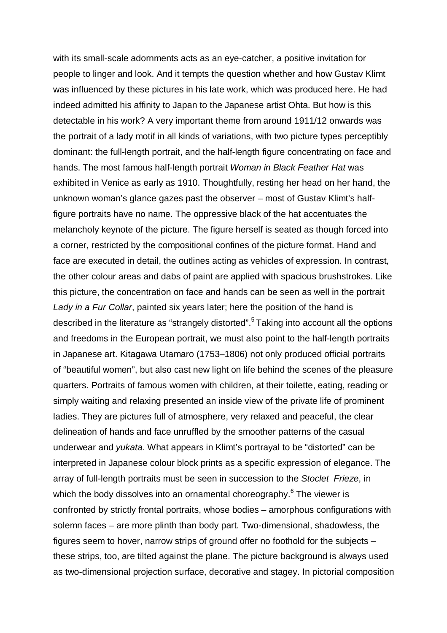with its small-scale adornments acts as an eye-catcher, a positive invitation for people to linger and look. And it tempts the question whether and how Gustav Klimt was influenced by these pictures in his late work, which was produced here. He had indeed admitted his affinity to Japan to the Japanese artist Ohta. But how is this detectable in his work? A very important theme from around 1911/12 onwards was the portrait of a lady motif in all kinds of variations, with two picture types perceptibly dominant: the full-length portrait, and the half-length figure concentrating on face and hands. The most famous half-length portrait *Woman in Black Feather Hat* was exhibited in Venice as early as 1910. Thoughtfully, resting her head on her hand, the unknown woman's glance gazes past the observer – most of Gustav Klimt's halffigure portraits have no name. The oppressive black of the hat accentuates the melancholy keynote of the picture. The figure herself is seated as though forced into a corner, restricted by the compositional confines of the picture format. Hand and face are executed in detail, the outlines acting as vehicles of expression. In contrast, the other colour areas and dabs of paint are applied with spacious brushstrokes. Like this picture, the concentration on face and hands can be seen as well in the portrait *Lady in a Fur Collar*, painted six years later; here the position of the hand is described in the literature as "strangely distorted".<sup>5</sup> Taking into account all the options and freedoms in the European portrait, we must also point to the half-length portraits in Japanese art. Kitagawa Utamaro (1753–1806) not only produced official portraits of "beautiful women", but also cast new light on life behind the scenes of the pleasure quarters. Portraits of famous women with children, at their toilette, eating, reading or simply waiting and relaxing presented an inside view of the private life of prominent ladies. They are pictures full of atmosphere, very relaxed and peaceful, the clear delineation of hands and face unruffled by the smoother patterns of the casual underwear and *yukata*. What appears in Klimt's portrayal to be "distorted" can be interpreted in Japanese colour block prints as a specific expression of elegance. The array of full-length portraits must be seen in succession to the *Stoclet Frieze*, in which the body dissolves into an ornamental choreography.<sup>6</sup> The viewer is confronted by strictly frontal portraits, whose bodies – amorphous configurations with solemn faces – are more plinth than body part. Two-dimensional, shadowless, the figures seem to hover, narrow strips of ground offer no foothold for the subjects – these strips, too, are tilted against the plane. The picture background is always used as two-dimensional projection surface, decorative and stagey. In pictorial composition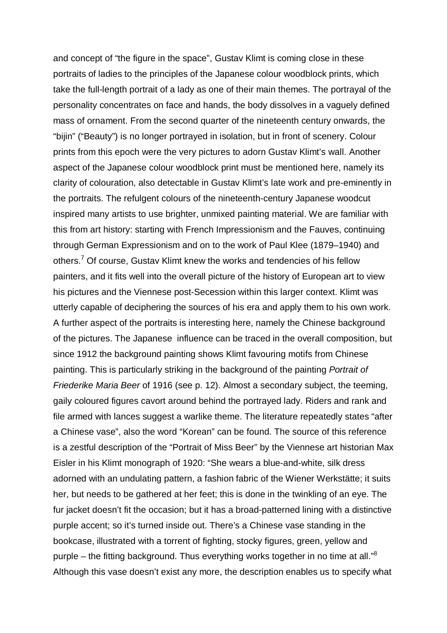and concept of "the figure in the space", Gustav Klimt is coming close in these portraits of ladies to the principles of the Japanese colour woodblock prints, which take the full-length portrait of a lady as one of their main themes. The portrayal of the personality concentrates on face and hands, the body dissolves in a vaguely defined mass of ornament. From the second quarter of the nineteenth century onwards, the "bijin" ("Beauty") is no longer portrayed in isolation, but in front of scenery. Colour prints from this epoch were the very pictures to adorn Gustav Klimt's wall. Another aspect of the Japanese colour woodblock print must be mentioned here, namely its clarity of colouration, also detectable in Gustav Klimt's late work and pre-eminently in the portraits. The refulgent colours of the nineteenth-century Japanese woodcut inspired many artists to use brighter, unmixed painting material. We are familiar with this from art history: starting with French Impressionism and the Fauves, continuing through German Expressionism and on to the work of Paul Klee (1879–1940) and others.<sup>7</sup> Of course, Gustav Klimt knew the works and tendencies of his fellow painters, and it fits well into the overall picture of the history of European art to view his pictures and the Viennese post-Secession within this larger context. Klimt was utterly capable of deciphering the sources of his era and apply them to his own work. A further aspect of the portraits is interesting here, namely the Chinese background of the pictures. The Japanese influence can be traced in the overall composition, but since 1912 the background painting shows Klimt favouring motifs from Chinese painting. This is particularly striking in the background of the painting *Portrait of Friederike Maria Beer* of 1916 (see p. 12). Almost a secondary subject, the teeming, gaily coloured figures cavort around behind the portrayed lady. Riders and rank and file armed with lances suggest a warlike theme. The literature repeatedly states "after a Chinese vase", also the word "Korean" can be found. The source of this reference is a zestful description of the "Portrait of Miss Beer" by the Viennese art historian Max Eisler in his Klimt monograph of 1920: "She wears a blue-and-white, silk dress adorned with an undulating pattern, a fashion fabric of the Wiener Werkstätte; it suits her, but needs to be gathered at her feet; this is done in the twinkling of an eye. The fur jacket doesn't fit the occasion; but it has a broad-patterned lining with a distinctive purple accent; so it's turned inside out. There's a Chinese vase standing in the bookcase, illustrated with a torrent of fighting, stocky figures, green, yellow and purple – the fitting background. Thus everything works together in no time at all."<sup>8</sup> Although this vase doesn't exist any more, the description enables us to specify what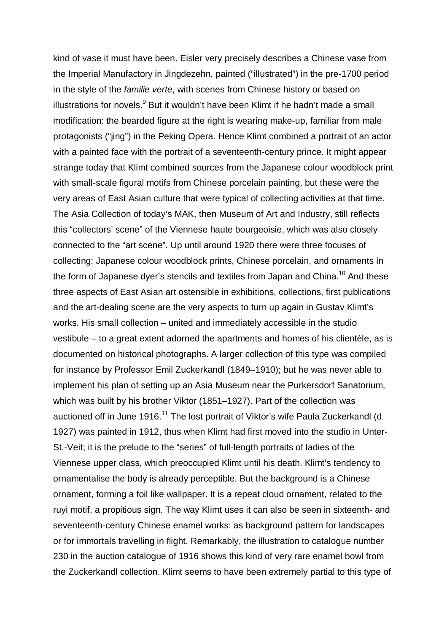kind of vase it must have been. Eisler very precisely describes a Chinese vase from the Imperial Manufactory in Jingdezehn, painted ("illustrated") in the pre-1700 period in the style of the *familie verte*, with scenes from Chinese history or based on illustrations for novels. $9$  But it wouldn't have been Klimt if he hadn't made a small modification: the bearded figure at the right is wearing make-up, familiar from male protagonists ("jing") in the Peking Opera. Hence Klimt combined a portrait of an actor with a painted face with the portrait of a seventeenth-century prince. It might appear strange today that Klimt combined sources from the Japanese colour woodblock print with small-scale figural motifs from Chinese porcelain painting, but these were the very areas of East Asian culture that were typical of collecting activities at that time. The Asia Collection of today's MAK, then Museum of Art and Industry, still reflects this "collectors' scene" of the Viennese haute bourgeoisie, which was also closely connected to the "art scene". Up until around 1920 there were three focuses of collecting: Japanese colour woodblock prints, Chinese porcelain, and ornaments in the form of Japanese dyer's stencils and textiles from Japan and China.<sup>10</sup> And these three aspects of East Asian art ostensible in exhibitions, collections, first publications and the art-dealing scene are the very aspects to turn up again in Gustav Klimt's works. His small collection – united and immediately accessible in the studio vestibule – to a great extent adorned the apartments and homes of his clientèle, as is documented on historical photographs. A larger collection of this type was compiled for instance by Professor Emil Zuckerkandl (1849–1910); but he was never able to implement his plan of setting up an Asia Museum near the Purkersdorf Sanatorium, which was built by his brother Viktor (1851–1927). Part of the collection was auctioned off in June 1916.<sup>11</sup> The lost portrait of Viktor's wife Paula Zuckerkandl (d. 1927) was painted in 1912, thus when Klimt had first moved into the studio in Unter-St.-Veit; it is the prelude to the "series" of full-length portraits of ladies of the Viennese upper class, which preoccupied Klimt until his death. Klimt's tendency to ornamentalise the body is already perceptible. But the background is a Chinese ornament, forming a foil like wallpaper. It is a repeat cloud ornament, related to the ruyi motif, a propitious sign. The way Klimt uses it can also be seen in sixteenth- and seventeenth-century Chinese enamel works: as background pattern for landscapes or for immortals travelling in flight. Remarkably, the illustration to catalogue number 230 in the auction catalogue of 1916 shows this kind of very rare enamel bowl from the Zuckerkandl collection. Klimt seems to have been extremely partial to this type of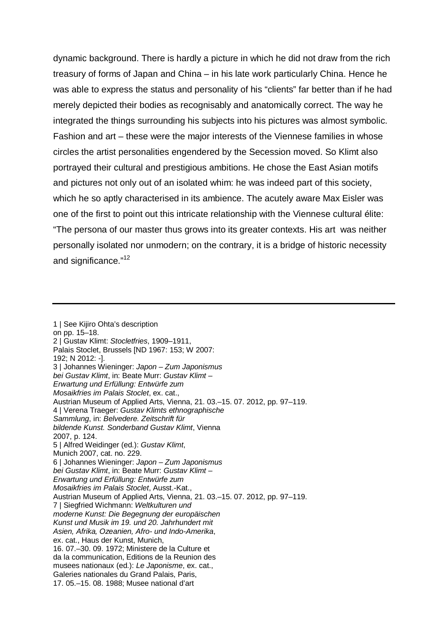dynamic background. There is hardly a picture in which he did not draw from the rich treasury of forms of Japan and China – in his late work particularly China. Hence he was able to express the status and personality of his "clients" far better than if he had merely depicted their bodies as recognisably and anatomically correct. The way he integrated the things surrounding his subjects into his pictures was almost symbolic. Fashion and art – these were the major interests of the Viennese families in whose circles the artist personalities engendered by the Secession moved. So Klimt also portrayed their cultural and prestigious ambitions. He chose the East Asian motifs and pictures not only out of an isolated whim: he was indeed part of this society, which he so aptly characterised in its ambience. The acutely aware Max Eisler was one of the first to point out this intricate relationship with the Viennese cultural élite: "The persona of our master thus grows into its greater contexts. His art was neither personally isolated nor unmodern; on the contrary, it is a bridge of historic necessity and significance."<sup>12</sup>

<sup>1 |</sup> See Kijiro Ohta's description on pp. 15–18. 2 | Gustav Klimt: *Stocletfries*, 1909–1911, Palais Stoclet, Brussels [ND 1967: 153; W 2007: 192; N 2012: -]. 3 | Johannes Wieninger: *Japon – Zum Japonismus bei Gustav Klimt*, in: Beate Murr: *Gustav Klimt – Erwartung und Erfüllung: Entwürfe zum Mosaikfries im Palais Stoclet*, ex. cat., Austrian Museum of Applied Arts, Vienna, 21. 03.–15. 07. 2012, pp. 97–119. 4 | Verena Traeger: *Gustav Klimts ethnographische Sammlung*, in: *Belvedere. Zeitschrift für bildende Kunst. Sonderband Gustav Klimt*, Vienna 2007, p. 124. 5 | Alfred Weidinger (ed.): *Gustav Klimt*, Munich 2007, cat. no. 229. 6 | Johannes Wieninger: *Japon – Zum Japonismus bei Gustav Klimt*, in: Beate Murr: *Gustav Klimt – Erwartung und Erfüllung: Entwürfe zum Mosaikfries im Palais Stoclet*, Ausst.-Kat., Austrian Museum of Applied Arts, Vienna, 21. 03.–15. 07. 2012, pp. 97–119. 7 | Siegfried Wichmann: *Weltkulturen und moderne Kunst: Die Begegnung der europäischen Kunst und Musik im 19. und 20. Jahrhundert mit Asien, Afrika, Ozeanien, Afro- und Indo-Amerika*, ex. cat., Haus der Kunst, Munich, 16. 07.–30. 09. 1972; Ministere de la Culture et da la communication, Editions de la Reunion des musees nationaux (ed.): *Le Japonisme*, ex. cat., Galeries nationales du Grand Palais, Paris, 17. 05.–15. 08. 1988; Musee national d'art